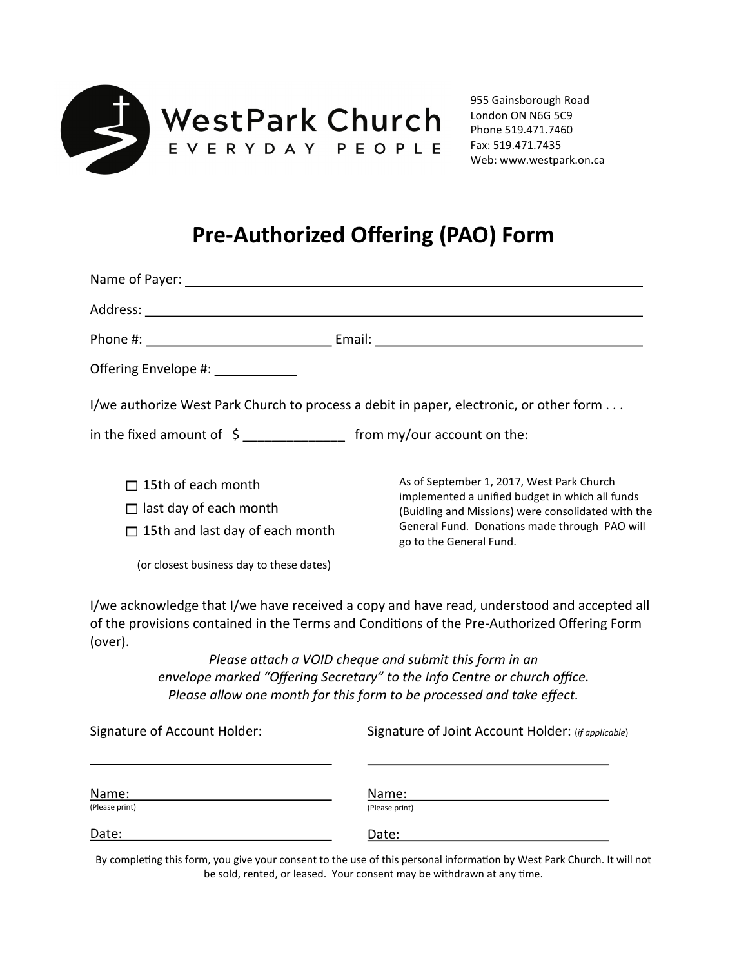

## **Pre-Authorized Offering (PAO) Form**

| Offering Envelope #: ____________                                                                    |                                                                                                                                                                                                                                |
|------------------------------------------------------------------------------------------------------|--------------------------------------------------------------------------------------------------------------------------------------------------------------------------------------------------------------------------------|
| I/we authorize West Park Church to process a debit in paper, electronic, or other form               |                                                                                                                                                                                                                                |
| in the fixed amount of $\sin \theta$ __________________ from my/our account on the:                  |                                                                                                                                                                                                                                |
| $\Box$ 15th of each month<br>$\Box$ last day of each month<br>$\Box$ 15th and last day of each month | As of September 1, 2017, West Park Church<br>implemented a unified budget in which all funds<br>(Buidling and Missions) were consolidated with the<br>General Fund. Donations made through PAO will<br>go to the General Fund. |
| (or closest business day to these dates)                                                             |                                                                                                                                                                                                                                |
| (over).                                                                                              | I/we acknowledge that I/we have received a copy and have read, understood and accepted all<br>of the provisions contained in the Terms and Conditions of the Pre-Authorized Offering Form                                      |
|                                                                                                      | Please attach a VOID cheque and submit this form in an                                                                                                                                                                         |
|                                                                                                      | envelope marked "Offering Secretary" to the Info Centre or church office.                                                                                                                                                      |

*envelope marked "Offering Secretary" to the Info Centre or church office. Please allow one month for this form to be processed and take effect.*

| Signature of Account Holder:<br>Name: | Signature of Joint Account Holder: (if applicable) |
|---------------------------------------|----------------------------------------------------|
|                                       | Name:                                              |
| (Please print)                        | (Please print)                                     |
| Date:                                 | Date:                                              |

By completing this form, you give your consent to the use of this personal information by West Park Church. It will not be sold, rented, or leased. Your consent may be withdrawn at any time.